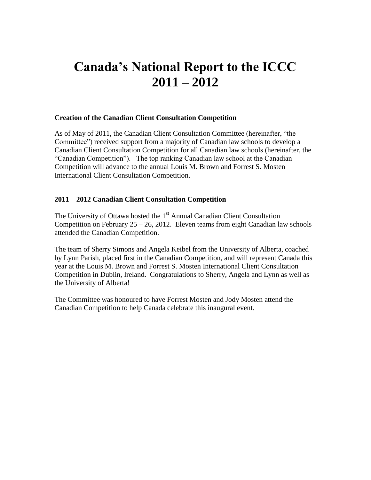# **Canada's National Report to the ICCC 2011 – 2012**

### **Creation of the Canadian Client Consultation Competition**

As of May of 2011, the Canadian Client Consultation Committee (hereinafter, "the Committee") received support from a majority of Canadian law schools to develop a Canadian Client Consultation Competition for all Canadian law schools (hereinafter, the "Canadian Competition"). The top ranking Canadian law school at the Canadian Competition will advance to the annual Louis M. Brown and Forrest S. Mosten International Client Consultation Competition.

#### **2011 – 2012 Canadian Client Consultation Competition**

The University of Ottawa hosted the  $1<sup>st</sup>$  Annual Canadian Client Consultation Competition on February  $25 - 26$ , 2012. Eleven teams from eight Canadian law schools attended the Canadian Competition.

The team of Sherry Simons and Angela Keibel from the University of Alberta, coached by Lynn Parish, placed first in the Canadian Competition, and will represent Canada this year at the Louis M. Brown and Forrest S. Mosten International Client Consultation Competition in Dublin, Ireland. Congratulations to Sherry, Angela and Lynn as well as the University of Alberta!

The Committee was honoured to have Forrest Mosten and Jody Mosten attend the Canadian Competition to help Canada celebrate this inaugural event.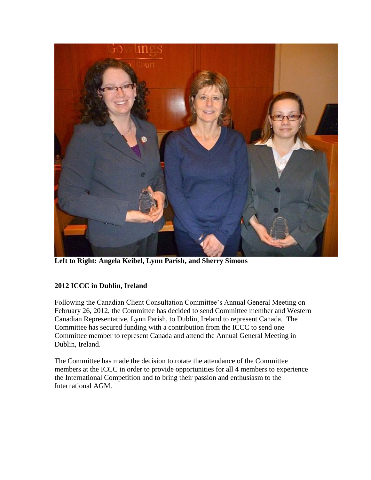

**Left to Right: Angela Keibel, Lynn Parish, and Sherry Simons**

## **2012 ICCC in Dublin, Ireland**

Following the Canadian Client Consultation Committee's Annual General Meeting on February 26, 2012, the Committee has decided to send Committee member and Western Canadian Representative, Lynn Parish, to Dublin, Ireland to represent Canada. The Committee has secured funding with a contribution from the ICCC to send one Committee member to represent Canada and attend the Annual General Meeting in Dublin, Ireland.

The Committee has made the decision to rotate the attendance of the Committee members at the ICCC in order to provide opportunities for all 4 members to experience the International Competition and to bring their passion and enthusiasm to the International AGM.